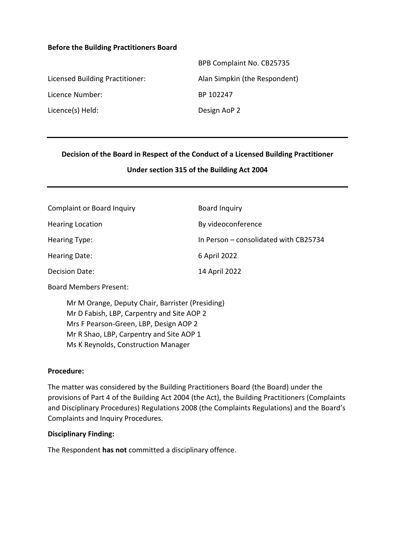#### **Before the Building Practitioners Board**

|                                 | BPB Complaint No. CB25735     |
|---------------------------------|-------------------------------|
| Licensed Building Practitioner: | Alan Simpkin (the Respondent) |
| Licence Number:                 | BP 102247                     |
| Licence(s) Held:                | Design AoP 2                  |

### **Decision of the Board in Respect of the Conduct of a Licensed Building Practitioner**

### **Under section 315 of the Building Act 2004**

| Complaint or Board Inquiry | Board Inquiry                         |
|----------------------------|---------------------------------------|
| <b>Hearing Location</b>    | By videoconference                    |
| Hearing Type:              | In Person – consolidated with CB25734 |
| Hearing Date:              | 6 April 2022                          |
| Decision Date:             | 14 April 2022                         |

Board Members Present:

Mr M Orange, Deputy Chair, Barrister (Presiding) Mr D Fabish, LBP, Carpentry and Site AOP 2 Mrs F Pearson-Green, LBP, Design AOP 2 Mr R Shao, LBP, Carpentry and Site AOP 1 Ms K Reynolds, Construction Manager

#### **Procedure:**

The matter was considered by the Building Practitioners Board (the Board) under the provisions of Part 4 of the Building Act 2004 (the Act), the Building Practitioners (Complaints and Disciplinary Procedures) Regulations 2008 (the Complaints Regulations) and the Board's Complaints and Inquiry Procedures.

#### **Disciplinary Finding:**

The Respondent **has not** committed a disciplinary offence.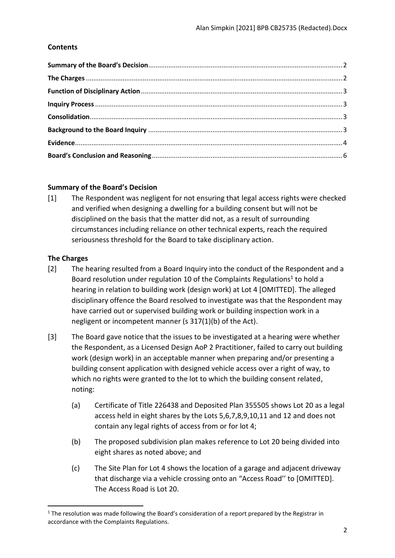## **Contents**

## <span id="page-1-0"></span>**Summary of the Board's Decision**

[1] The Respondent was negligent for not ensuring that legal access rights were checked and verified when designing a dwelling for a building consent but will not be disciplined on the basis that the matter did not, as a result of surrounding circumstances including reliance on other technical experts, reach the required seriousness threshold for the Board to take disciplinary action.

## <span id="page-1-1"></span>**The Charges**

- [2] The hearing resulted from a Board Inquiry into the conduct of the Respondent and a Board resolution under regulation 10 of the Complaints Regulations<sup>1</sup> to hold a hearing in relation to building work (design work) at Lot 4 [OMITTED]. The alleged disciplinary offence the Board resolved to investigate was that the Respondent may have carried out or supervised building work or building inspection work in a negligent or incompetent manner (s 317(1)(b) of the Act).
- [3] The Board gave notice that the issues to be investigated at a hearing were whether the Respondent, as a Licensed Design AoP 2 Practitioner, failed to carry out building work (design work) in an acceptable manner when preparing and/or presenting a building consent application with designed vehicle access over a right of way, to which no rights were granted to the lot to which the building consent related, noting:
	- (a) Certificate of Title 226438 and Deposited Plan 355505 shows Lot 20 as a legal access held in eight shares by the Lots 5,6,7,8,9,10,11 and 12 and does not contain any legal rights of access from or for lot 4;
	- (b) The proposed subdivision plan makes reference to Lot 20 being divided into eight shares as noted above; and
	- (c) The Site Plan for Lot 4 shows the location of a garage and adjacent driveway that discharge via a vehicle crossing onto an "Access Road'' to [OMITTED]. The Access Road is Lot 20.

 $1$  The resolution was made following the Board's consideration of a report prepared by the Registrar in accordance with the Complaints Regulations.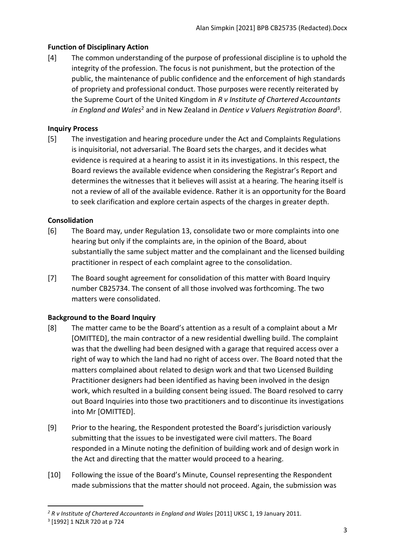# <span id="page-2-0"></span>**Function of Disciplinary Action**

[4] The common understanding of the purpose of professional discipline is to uphold the integrity of the profession. The focus is not punishment, but the protection of the public, the maintenance of public confidence and the enforcement of high standards of propriety and professional conduct. Those purposes were recently reiterated by the Supreme Court of the United Kingdom in *R v Institute of Chartered Accountants*  in England and Wales<sup>2</sup> and in New Zealand in Dentice v Valuers Registration Board<sup>3</sup>.

# <span id="page-2-1"></span>**Inquiry Process**

[5] The investigation and hearing procedure under the Act and Complaints Regulations is inquisitorial, not adversarial. The Board sets the charges, and it decides what evidence is required at a hearing to assist it in its investigations. In this respect, the Board reviews the available evidence when considering the Registrar's Report and determines the witnesses that it believes will assist at a hearing. The hearing itself is not a review of all of the available evidence. Rather it is an opportunity for the Board to seek clarification and explore certain aspects of the charges in greater depth.

# <span id="page-2-2"></span>**Consolidation**

- [6] The Board may, under Regulation 13, consolidate two or more complaints into one hearing but only if the complaints are, in the opinion of the Board, about substantially the same subject matter and the complainant and the licensed building practitioner in respect of each complaint agree to the consolidation.
- [7] The Board sought agreement for consolidation of this matter with Board Inquiry number CB25734. The consent of all those involved was forthcoming. The two matters were consolidated.

## <span id="page-2-3"></span>**Background to the Board Inquiry**

- [8] The matter came to be the Board's attention as a result of a complaint about a Mr [OMITTED], the main contractor of a new residential dwelling build. The complaint was that the dwelling had been designed with a garage that required access over a right of way to which the land had no right of access over. The Board noted that the matters complained about related to design work and that two Licensed Building Practitioner designers had been identified as having been involved in the design work, which resulted in a building consent being issued. The Board resolved to carry out Board Inquiries into those two practitioners and to discontinue its investigations into Mr [OMITTED].
- [9] Prior to the hearing, the Respondent protested the Board's jurisdiction variously submitting that the issues to be investigated were civil matters. The Board responded in a Minute noting the definition of building work and of design work in the Act and directing that the matter would proceed to a hearing.
- [10] Following the issue of the Board's Minute, Counsel representing the Respondent made submissions that the matter should not proceed. Again, the submission was

<sup>&</sup>lt;sup>2</sup> R v Institute of Chartered Accountants in England and Wales [2011] UKSC 1, 19 January 2011. 3 [1992] 1 NZLR 720 at p 724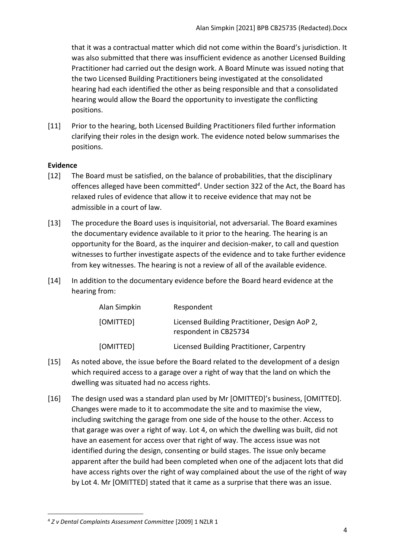that it was a contractual matter which did not come within the Board's jurisdiction. It was also submitted that there was insufficient evidence as another Licensed Building Practitioner had carried out the design work. A Board Minute was issued noting that the two Licensed Building Practitioners being investigated at the consolidated hearing had each identified the other as being responsible and that a consolidated hearing would allow the Board the opportunity to investigate the conflicting positions.

[11] Prior to the hearing, both Licensed Building Practitioners filed further information clarifying their roles in the design work. The evidence noted below summarises the positions.

### <span id="page-3-0"></span>**Evidence**

- [12] The Board must be satisfied, on the balance of probabilities, that the disciplinary offences alleged have been committed*<sup>4</sup>* . Under section 322 of the Act, the Board has relaxed rules of evidence that allow it to receive evidence that may not be admissible in a court of law.
- [13] The procedure the Board uses is inquisitorial, not adversarial. The Board examines the documentary evidence available to it prior to the hearing. The hearing is an opportunity for the Board, as the inquirer and decision-maker, to call and question witnesses to further investigate aspects of the evidence and to take further evidence from key witnesses. The hearing is not a review of all of the available evidence.
- [14] In addition to the documentary evidence before the Board heard evidence at the hearing from:

| Alan Simpkin | Respondent                                                             |
|--------------|------------------------------------------------------------------------|
| [OMITTED]    | Licensed Building Practitioner, Design AoP 2,<br>respondent in CB25734 |
| [OMITTED]    | Licensed Building Practitioner, Carpentry                              |

- [15] As noted above, the issue before the Board related to the development of a design which required access to a garage over a right of way that the land on which the dwelling was situated had no access rights.
- [16] The design used was a standard plan used by Mr [OMITTED]'s business, [OMITTED]. Changes were made to it to accommodate the site and to maximise the view, including switching the garage from one side of the house to the other. Access to that garage was over a right of way. Lot 4, on which the dwelling was built, did not have an easement for access over that right of way. The access issue was not identified during the design, consenting or build stages. The issue only became apparent after the build had been completed when one of the adjacent lots that did have access rights over the right of way complained about the use of the right of way by Lot 4. Mr [OMITTED] stated that it came as a surprise that there was an issue.

<sup>4</sup> *Z v Dental Complaints Assessment Committee* [2009] 1 NZLR 1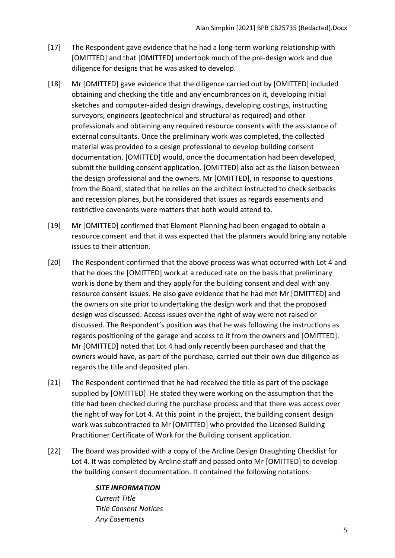- [17] The Respondent gave evidence that he had a long-term working relationship with [OMITTED] and that [OMITTED] undertook much of the pre-design work and due diligence for designs that he was asked to develop.
- [18] Mr [OMITTED] gave evidence that the diligence carried out by [OMITTED] included obtaining and checking the title and any encumbrances on it, developing initial sketches and computer-aided design drawings, developing costings, instructing surveyors, engineers (geotechnical and structural as required) and other professionals and obtaining any required resource consents with the assistance of external consultants. Once the preliminary work was completed, the collected material was provided to a design professional to develop building consent documentation. [OMITTED] would, once the documentation had been developed, submit the building consent application. [OMITTED] also act as the liaison between the design professional and the owners. Mr [OMITTED], in response to questions from the Board, stated that he relies on the architect instructed to check setbacks and recession planes, but he considered that issues as regards easements and restrictive covenants were matters that both would attend to.
- [19] Mr [OMITTED] confirmed that Element Planning had been engaged to obtain a resource consent and that it was expected that the planners would bring any notable issues to their attention.
- [20] The Respondent confirmed that the above process was what occurred with Lot 4 and that he does the [OMITTED] work at a reduced rate on the basis that preliminary work is done by them and they apply for the building consent and deal with any resource consent issues. He also gave evidence that he had met Mr [OMITTED] and the owners on site prior to undertaking the design work and that the proposed design was discussed. Access issues over the right of way were not raised or discussed. The Respondent's position was that he was following the instructions as regards positioning of the garage and access to it from the owners and [OMITTED]. Mr [OMITTED] noted that Lot 4 had only recently been purchased and that the owners would have, as part of the purchase, carried out their own due diligence as regards the title and deposited plan.
- [21] The Respondent confirmed that he had received the title as part of the package supplied by [OMITTED]. He stated they were working on the assumption that the title had been checked during the purchase process and that there was access over the right of way for Lot 4. At this point in the project, the building consent design work was subcontracted to Mr [OMITTED] who provided the Licensed Building Practitioner Certificate of Work for the Building consent application.
- [22] The Board was provided with a copy of the Arcline Design Draughting Checklist for Lot 4. It was completed by Arcline staff and passed onto Mr [OMITTED] to develop the building consent documentation. It contained the following notations:

### *SITE INFORMATION*

*Current Title Title Consent Notices Any Easements*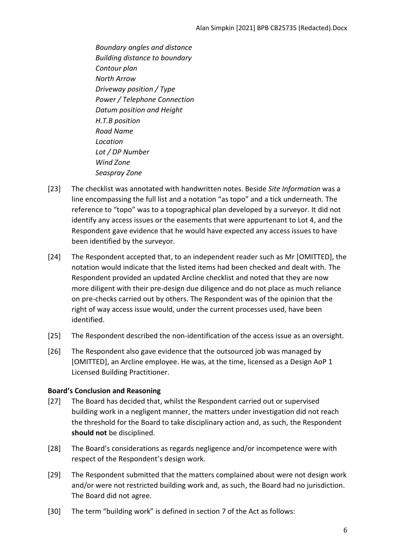*Boundary angles and distance Building distance to boundary Contour plan North Arrow Driveway position / Type Power / Telephone Connection Datum position and Height H.T.B position Road Name Location Lot / DP Number Wind Zone Seaspray Zone* 

- [23] The checklist was annotated with handwritten notes. Beside *Site Information* was a line encompassing the full list and a notation "as topo" and a tick underneath. The reference to "topo" was to a topographical plan developed by a surveyor. It did not identify any access issues or the easements that were appurtenant to Lot 4, and the Respondent gave evidence that he would have expected any access issues to have been identified by the surveyor.
- [24] The Respondent accepted that, to an independent reader such as Mr [OMITTED], the notation would indicate that the listed items had been checked and dealt with. The Respondent provided an updated Arcline checklist and noted that they are now more diligent with their pre-design due diligence and do not place as much reliance on pre-checks carried out by others. The Respondent was of the opinion that the right of way access issue would, under the current processes used, have been identified.
- [25] The Respondent described the non-identification of the access issue as an oversight.
- [26] The Respondent also gave evidence that the outsourced job was managed by [OMITTED], an Arcline employee. He was, at the time, licensed as a Design AoP 1 Licensed Building Practitioner.

## <span id="page-5-0"></span>**Board's Conclusion and Reasoning**

- [27] The Board has decided that, whilst the Respondent carried out or supervised building work in a negligent manner, the matters under investigation did not reach the threshold for the Board to take disciplinary action and, as such, the Respondent **should not** be disciplined.
- [28] The Board's considerations as regards negligence and/or incompetence were with respect of the Respondent's design work.
- [29] The Respondent submitted that the matters complained about were not design work and/or were not restricted building work and, as such, the Board had no jurisdiction. The Board did not agree.
- [30] The term "building work" is defined in section 7 of the Act as follows: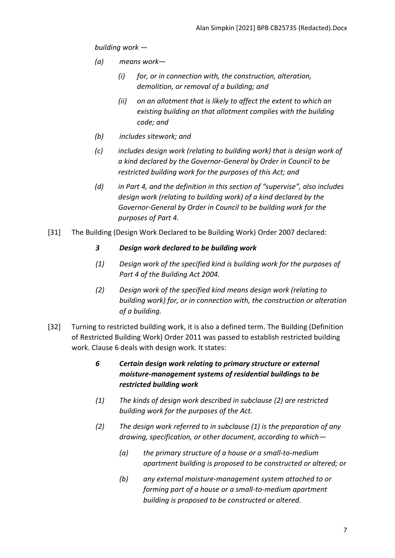*building work —*

- *(a) means work—*
	- *(i) for, or in connection with, the construction, alteration, demolition, or removal of a building; and*
	- *(ii) on an allotment that is likely to affect the extent to which an existing building on that allotment complies with the building code; and*
- *(b) includes sitework; and*
- *(c) includes design work (relating to building work) that is design work of a kind declared by the Governor-General by Order in Council to be restricted building work for the purposes of this Act; and*
- *(d) in Part 4, and the definition in this section of "supervise", also includes design work (relating to building work) of a kind declared by the Governor-General by Order in Council to be building work for the purposes of Part 4.*
- [31] The Building (Design Work Declared to be Building Work) Order 2007 declared:

## *3 Design work declared to be building work*

- *(1) Design work of the specified kind is building work for the purposes of Part 4 of the Building Act 2004.*
- *(2) Design work of the specified kind means design work (relating to building work) for, or in connection with, the construction or alteration of a building.*
- [32] Turning to restricted building work, it is also a defined term. The Building (Definition of Restricted Building Work) Order 2011 was passed to establish restricted building work. Clause 6 deals with design work. It states:
	- *6 Certain design work relating to primary structure or external moisture-management systems of residential buildings to be restricted building work*
	- *(1) The kinds of design work described in subclause (2) are restricted building work for the purposes of the Act.*
	- *(2) The design work referred to in subclause (1) is the preparation of any drawing, specification, or other document, according to which—*
		- *(a) the primary structure of a house or a small-to-medium apartment building is proposed to be constructed or altered; or*
		- *(b) any external moisture-management system attached to or forming part of a house or a small-to-medium apartment building is proposed to be constructed or altered.*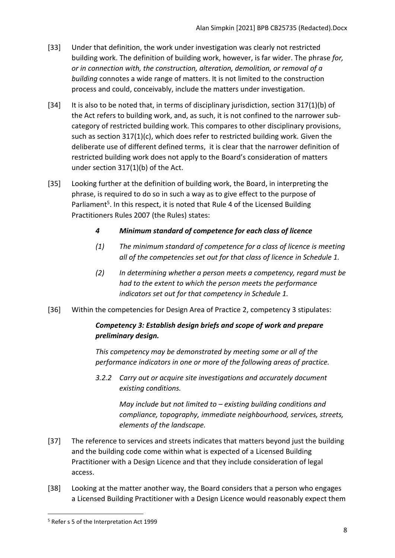- [33] Under that definition, the work under investigation was clearly not restricted building work. The definition of building work, however, is far wider. The phrase *for, or in connection with, the construction, alteration, demolition, or removal of a building* connotes a wide range of matters. It is not limited to the construction process and could, conceivably, include the matters under investigation.
- [34] It is also to be noted that, in terms of disciplinary jurisdiction, section 317(1)(b) of the Act refers to building work, and, as such, it is not confined to the narrower subcategory of restricted building work. This compares to other disciplinary provisions, such as section 317(1)(c), which does refer to restricted building work. Given the deliberate use of different defined terms, it is clear that the narrower definition of restricted building work does not apply to the Board's consideration of matters under section 317(1)(b) of the Act.
- [35] Looking further at the definition of building work, the Board, in interpreting the phrase, is required to do so in such a way as to give effect to the purpose of Parliament<sup>5</sup>. In this respect, it is noted that Rule 4 of the Licensed Building Practitioners Rules 2007 (the Rules) states:
	- *4 Minimum standard of competence for each class of licence*
	- *(1) The minimum standard of competence for a class of licence is meeting all of the competencies set out for that class of licence in Schedule 1.*
	- *(2) In determining whether a person meets a competency, regard must be had to the extent to which the person meets the performance indicators set out for that competency in Schedule 1.*
- [36] Within the competencies for Design Area of Practice 2, competency 3 stipulates:

# *Competency 3: Establish design briefs and scope of work and prepare preliminary design.*

*This competency may be demonstrated by meeting some or all of the performance indicators in one or more of the following areas of practice.*

*3.2.2 Carry out or acquire site investigations and accurately document existing conditions.*

> *May include but not limited to – existing building conditions and compliance, topography, immediate neighbourhood, services, streets, elements of the landscape.*

- [37] The reference to services and streets indicates that matters beyond just the building and the building code come within what is expected of a Licensed Building Practitioner with a Design Licence and that they include consideration of legal access.
- [38] Looking at the matter another way, the Board considers that a person who engages a Licensed Building Practitioner with a Design Licence would reasonably expect them

<sup>5</sup> Refer s 5 of the Interpretation Act 1999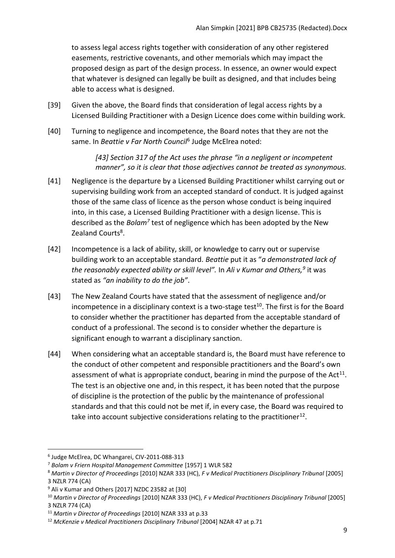to assess legal access rights together with consideration of any other registered easements, restrictive covenants, and other memorials which may impact the proposed design as part of the design process. In essence, an owner would expect that whatever is designed can legally be built as designed, and that includes being able to access what is designed.

- [39] Given the above, the Board finds that consideration of legal access rights by a Licensed Building Practitioner with a Design Licence does come within building work.
- [40] Turning to negligence and incompetence, the Board notes that they are not the same. In *Beattie v Far North Council*<sup>6</sup> Judge McElrea noted:

*[43] Section 317 of the Act uses the phrase "in a negligent or incompetent manner", so it is clear that those adjectives cannot be treated as synonymous.*

- [41] Negligence is the departure by a Licensed Building Practitioner whilst carrying out or supervising building work from an accepted standard of conduct. It is judged against those of the same class of licence as the person whose conduct is being inquired into, in this case, a Licensed Building Practitioner with a design license. This is described as the *Bolam<sup>7</sup>* test of negligence which has been adopted by the New Zealand Courts<sup>8</sup>.
- [42] Incompetence is a lack of ability, skill, or knowledge to carry out or supervise building work to an acceptable standard. *Beattie* put it as "*a demonstrated lack of the reasonably expected ability or skill level".* In *Ali v Kumar and Others,<sup>9</sup>* it was stated as *"an inability to do the job"*.
- [43] The New Zealand Courts have stated that the assessment of negligence and/or incompetence in a disciplinary context is a two-stage test $^{10}$ . The first is for the Board to consider whether the practitioner has departed from the acceptable standard of conduct of a professional. The second is to consider whether the departure is significant enough to warrant a disciplinary sanction.
- [44] When considering what an acceptable standard is, the Board must have reference to the conduct of other competent and responsible practitioners and the Board's own assessment of what is appropriate conduct, bearing in mind the purpose of the Act<sup>11</sup>. The test is an objective one and, in this respect, it has been noted that the purpose of discipline is the protection of the public by the maintenance of professional standards and that this could not be met if, in every case, the Board was required to take into account subjective considerations relating to the practitioner<sup>12</sup>.

<sup>6</sup> Judge McElrea, DC Whangarei, CIV-2011-088-313

<sup>7</sup> *Bolam v Friern Hospital Management Committee* [1957] 1 WLR 582

<sup>8</sup> *Martin v Director of Proceedings* [2010] NZAR 333 (HC), *F v Medical Practitioners Disciplinary Tribunal* [2005] 3 NZLR 774 (CA)

<sup>&</sup>lt;sup>9</sup> Ali v Kumar and Others [2017] NZDC 23582 at [30]

<sup>10</sup> *Martin v Director of Proceedings* [2010] NZAR 333 (HC), *F v Medical Practitioners Disciplinary Tribunal* [2005] 3 NZLR 774 (CA)

<sup>11</sup> *Martin v Director of Proceedings* [2010] NZAR 333 at p.33

<sup>12</sup> *McKenzie v Medical Practitioners Disciplinary Tribunal* [2004] NZAR 47 at p.71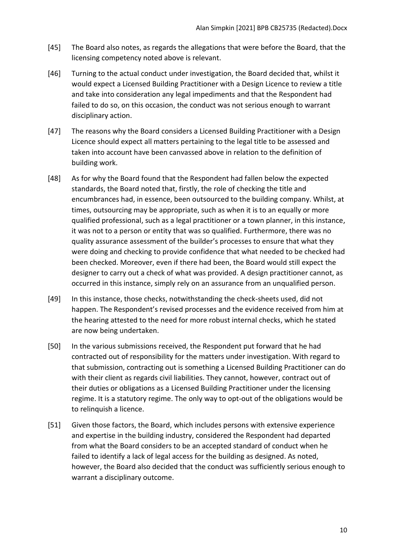- [45] The Board also notes, as regards the allegations that were before the Board, that the licensing competency noted above is relevant.
- [46] Turning to the actual conduct under investigation, the Board decided that, whilst it would expect a Licensed Building Practitioner with a Design Licence to review a title and take into consideration any legal impediments and that the Respondent had failed to do so, on this occasion, the conduct was not serious enough to warrant disciplinary action.
- [47] The reasons why the Board considers a Licensed Building Practitioner with a Design Licence should expect all matters pertaining to the legal title to be assessed and taken into account have been canvassed above in relation to the definition of building work.
- [48] As for why the Board found that the Respondent had fallen below the expected standards, the Board noted that, firstly, the role of checking the title and encumbrances had, in essence, been outsourced to the building company. Whilst, at times, outsourcing may be appropriate, such as when it is to an equally or more qualified professional, such as a legal practitioner or a town planner, in this instance, it was not to a person or entity that was so qualified. Furthermore, there was no quality assurance assessment of the builder's processes to ensure that what they were doing and checking to provide confidence that what needed to be checked had been checked. Moreover, even if there had been, the Board would still expect the designer to carry out a check of what was provided. A design practitioner cannot, as occurred in this instance, simply rely on an assurance from an unqualified person.
- [49] In this instance, those checks, notwithstanding the check-sheets used, did not happen. The Respondent's revised processes and the evidence received from him at the hearing attested to the need for more robust internal checks, which he stated are now being undertaken.
- [50] In the various submissions received, the Respondent put forward that he had contracted out of responsibility for the matters under investigation. With regard to that submission, contracting out is something a Licensed Building Practitioner can do with their client as regards civil liabilities. They cannot, however, contract out of their duties or obligations as a Licensed Building Practitioner under the licensing regime. It is a statutory regime. The only way to opt-out of the obligations would be to relinquish a licence.
- [51] Given those factors, the Board, which includes persons with extensive experience and expertise in the building industry, considered the Respondent had departed from what the Board considers to be an accepted standard of conduct when he failed to identify a lack of legal access for the building as designed. As noted, however, the Board also decided that the conduct was sufficiently serious enough to warrant a disciplinary outcome.